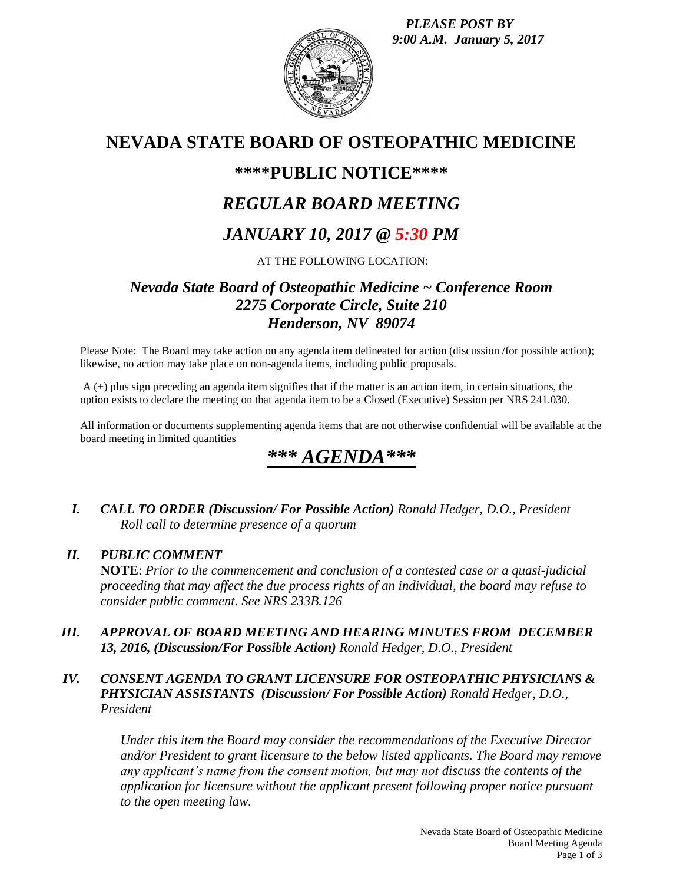*PLEASE POST BY 9:00 A.M. January 5, 2017*



# **NEVADA STATE BOARD OF OSTEOPATHIC MEDICINE**

# **\*\*\*\*PUBLIC NOTICE\*\*\*\***

# *REGULAR BOARD MEETING*

# *JANUARY 10, 2017 @ 5:30 PM*

## AT THE FOLLOWING LOCATION:

## *Nevada State Board of Osteopathic Medicine ~ Conference Room 2275 Corporate Circle, Suite 210 Henderson, NV 89074*

Please Note: The Board may take action on any agenda item delineated for action (discussion /for possible action); likewise, no action may take place on non-agenda items, including public proposals.

A (+) plus sign preceding an agenda item signifies that if the matter is an action item, in certain situations, the option exists to declare the meeting on that agenda item to be a Closed (Executive) Session per NRS 241.030.

All information or documents supplementing agenda items that are not otherwise confidential will be available at the board meeting in limited quantities

# \*\*\* *AGEN*

*I. CALL TO ORDER (Discussion/ For Possible Action) Ronald Hedger, D.O., President Roll call to determine presence of a quorum*

## *II. PUBLIC COMMENT*

**NOTE**: *Prior to the commencement and conclusion of a contested case or a quasi-judicial proceeding that may affect the due process rights of an individual, the board may refuse to consider public comment. See NRS 233B.126*

*III. APPROVAL OF BOARD MEETING AND HEARING MINUTES FROM DECEMBER 13, 2016, (Discussion/For Possible Action) Ronald Hedger, D.O., President*

## *IV. CONSENT AGENDA TO GRANT LICENSURE FOR OSTEOPATHIC PHYSICIANS & PHYSICIAN ASSISTANTS (Discussion/ For Possible Action) Ronald Hedger, D.O., President*

*Under this item the Board may consider the recommendations of the Executive Director and/or President to grant licensure to the below listed applicants. The Board may remove any applicant's name from the consent motion, but may not discuss the contents of the application for licensure without the applicant present following proper notice pursuant to the open meeting law.*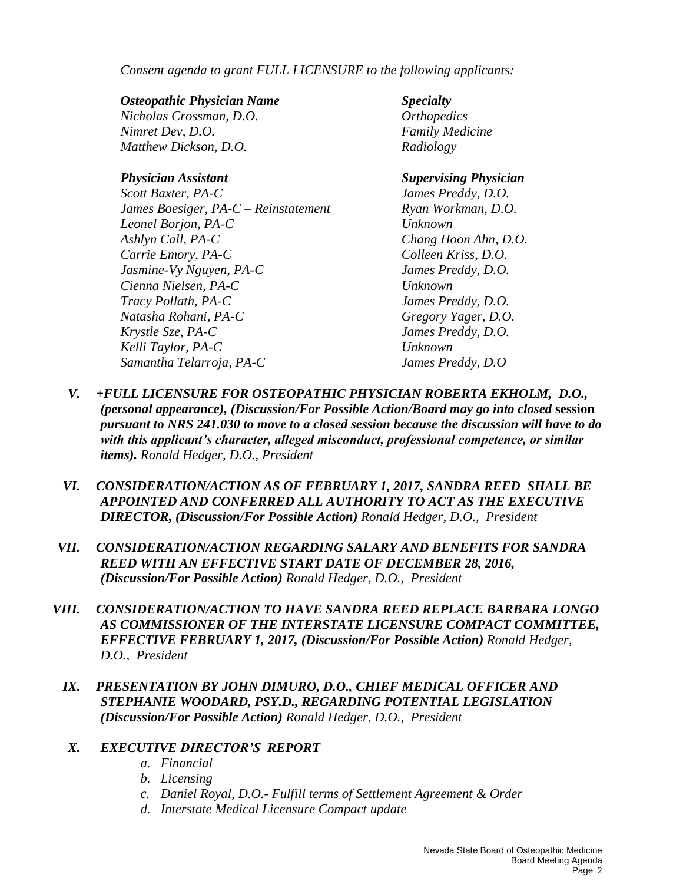*Consent agenda to grant FULL LICENSURE to the following applicants:*

#### *Osteopathic Physician Name Specialty*

*Nicholas Crossman, D.O. Orthopedics Nimret Dev, D.O. Family Medicine Matthew Dickson, D.O. Radiology*

*Scott Baxter, PA-C James Preddy, D.O. James Boesiger, PA-C – Reinstatement Ryan Workman, D.O. Leonel Borjon, PA-C Unknown Ashlyn Call, PA-C Chang Hoon Ahn, D.O. Carrie Emory, PA-C Colleen Kriss, D.O. Jasmine-Vy Nguyen, PA-C James Preddy, D.O. Cienna Nielsen, PA-C Unknown Tracy Pollath, PA-C James Preddy, D.O. Natasha Rohani, PA-C Gregory Yager, D.O. Krystle Sze, PA-C James Preddy, D.O. Kelli Taylor, PA-C Unknown Samantha Telarroja, PA-C James Preddy, D.O*

### *Physician Assistant Supervising Physician*

- *V. +FULL LICENSURE FOR OSTEOPATHIC PHYSICIAN ROBERTA EKHOLM, D.O., (personal appearance), (Discussion/For Possible Action/Board may go into closed* **session** *pursuant to NRS 241.030 to move to a closed session because the discussion will have to do with this applicant's character, alleged misconduct, professional competence, or similar items). Ronald Hedger, D.O., President*
- *VI. CONSIDERATION/ACTION AS OF FEBRUARY 1, 2017, SANDRA REED SHALL BE APPOINTED AND CONFERRED ALL AUTHORITY TO ACT AS THE EXECUTIVE DIRECTOR, (Discussion/For Possible Action) Ronald Hedger, D.O., President*
- *VII. CONSIDERATION/ACTION REGARDING SALARY AND BENEFITS FOR SANDRA REED WITH AN EFFECTIVE START DATE OF DECEMBER 28, 2016, (Discussion/For Possible Action) Ronald Hedger, D.O., President*
- *VIII. CONSIDERATION/ACTION TO HAVE SANDRA REED REPLACE BARBARA LONGO AS COMMISSIONER OF THE INTERSTATE LICENSURE COMPACT COMMITTEE, EFFECTIVE FEBRUARY 1, 2017, (Discussion/For Possible Action) Ronald Hedger, D.O., President* 
	- *IX. PRESENTATION BY JOHN DIMURO, D.O., CHIEF MEDICAL OFFICER AND STEPHANIE WOODARD, PSY.D., REGARDING POTENTIAL LEGISLATION (Discussion/For Possible Action) Ronald Hedger, D.O., President*

## *X. EXECUTIVE DIRECTOR'S REPORT*

- *a. Financial*
- *b. Licensing*
- *c. Daniel Royal, D.O.- Fulfill terms of Settlement Agreement & Order*
- *d. Interstate Medical Licensure Compact update*